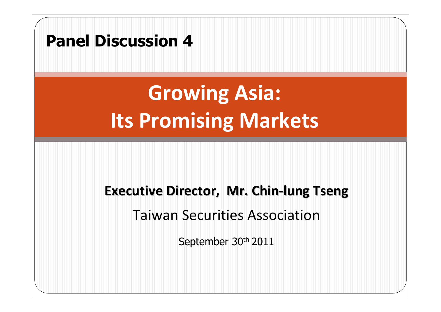#### **Panel Discussion 4**

## **Growing Asia: Its Promising Markets**

#### **Executive Executive Director, Director, Mr. Chin‐lung Tseng**

Taiwan Securities Association

September 30th 2011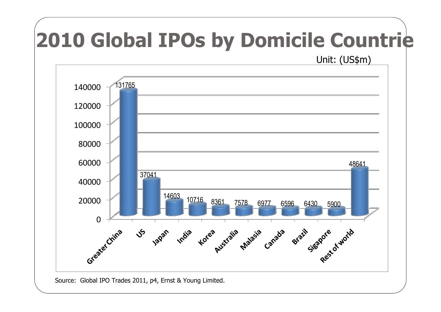# **2010 Global IPOs by Domicile Countri e**

Unit: (US\$m)



Source: Global IPO Trades 2011, p4, Ernst & Young Limited.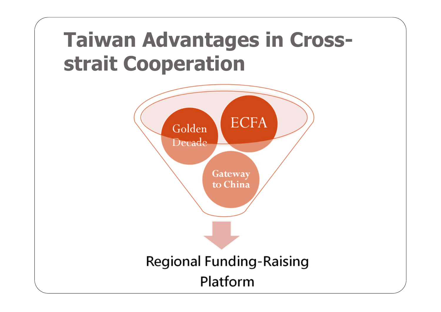### **Taiwan Advantages in Crossstrait Cooperation**

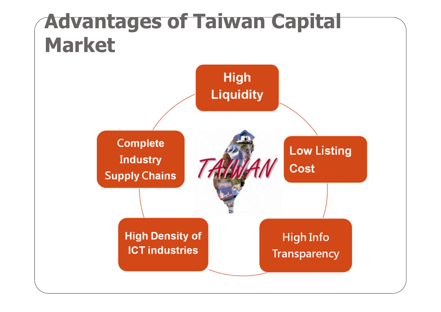#### **Advantages of Taiwan Capital Market**

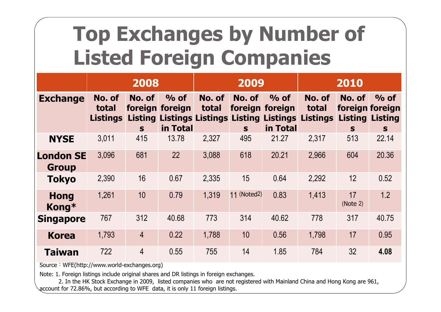### **Top Exchanges by Number of Listed Foreign Companies**

|                                  | 2008                               |                |                                                                                             | 2009            |             |                                        | 2010                        |                                                          |              |
|----------------------------------|------------------------------------|----------------|---------------------------------------------------------------------------------------------|-----------------|-------------|----------------------------------------|-----------------------------|----------------------------------------------------------|--------------|
| <b>Exchange</b>                  | No. of<br>total<br><b>Listings</b> | No. of<br>S    | $\%$ of<br>foreign foreign<br><b>Listing Listings Listings Listing Listings</b><br>in Total | No. of<br>total | No. of<br>S | $\%$ of<br>foreign foreign<br>in Total | No. of<br>total<br>Listings | No. of<br>foreign foreign<br><b>Listing Listing</b><br>S | $\%$ of<br>S |
| <b>NYSE</b>                      | 3,011                              | 415            | 13.78                                                                                       | 2,327           | 495         | 21.27                                  | 2.317                       | 513                                                      | 22.14        |
| <b>London SE</b><br><b>Group</b> | 3,096                              | 681            | 22                                                                                          | 3,088           | 618         | 20.21                                  | 2,966                       | 604                                                      | 20.36        |
| <b>Tokyo</b>                     | 2,390                              | 16             | 0.67                                                                                        | 2,335           | 15          | 0.64                                   | 2.292                       | 12                                                       | 0.52         |
| <b>Hong</b><br>Kong*             | 1,261                              | 10             | 0.79                                                                                        | 1,319           | 11 (Noted2) | 0.83                                   | 1,413                       | 17<br>(Note 2)                                           | 1.2          |
| <b>Singapore</b>                 | 767                                | 312            | 40.68                                                                                       | 773             | 314         | 40.62                                  | 778                         | 317                                                      | 40.75        |
| <b>Korea</b>                     | 1,793                              | $\overline{4}$ | 0.22                                                                                        | 1,788           | 10          | 0.56                                   | 1,798                       | 17                                                       | 0.95         |
| <b>Taiwan</b>                    | 722                                | 4              | 0.55                                                                                        | 755             | 14          | 1.85                                   | 784                         | 32                                                       | 4.08         |

Source: WFE(http://www.world-exchanges.org)

Note: 1. Foreign listings include original shares and DR listings in foreign exchanges.

2. In the HK Stock Exchange in 2009, listed companies who are not registered with Mainland China and Hong Kong are 961, account for 72.86%, but according to WFE data, it is only 11 foreign listings.